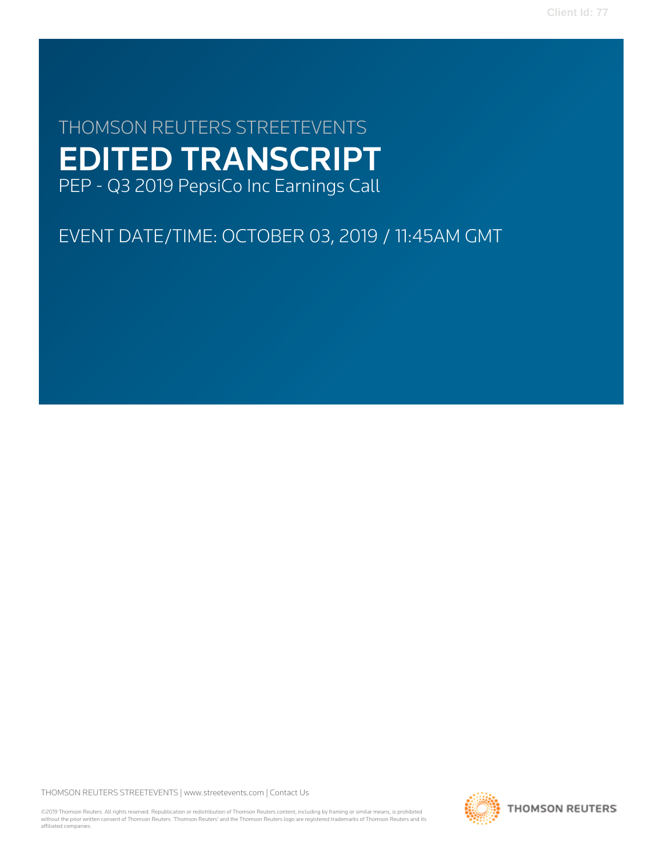# THOMSON REUTERS STREETEVENTS EDITED TRANSCRIPT PEP - Q3 2019 PepsiCo Inc Earnings Call

# EVENT DATE/TIME: OCTOBER 03, 2019 / 11:45AM GMT

THOMSON REUTERS STREETEVENTS | [www.streetevents.com](http://www.streetevents.com) | [Contact Us](http://www010.streetevents.com/contact.asp)

©2019 Thomson Reuters. All rights reserved. Republication or redistribution of Thomson Reuters content, including by framing or similar means, is prohibited without the prior written consent of Thomson Reuters. 'Thomson Reuters' and the Thomson Reuters logo are registered trademarks of Thomson Reuters and its affiliated companies.

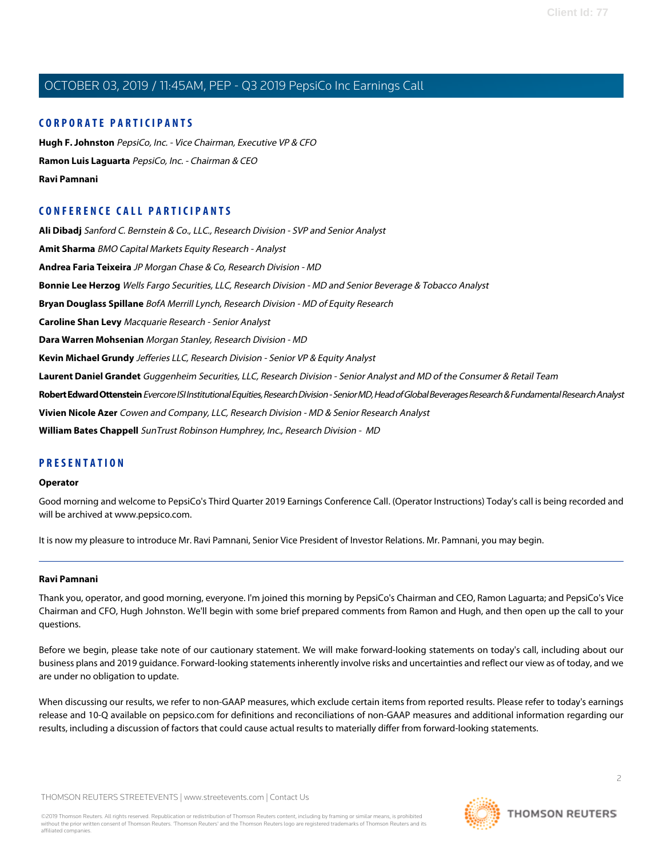## **CORPORATE PARTICIPANTS**

**[Hugh F. Johnston](#page-4-0)** PepsiCo, Inc. - Vice Chairman, Executive VP & CFO **[Ramon Luis Laguarta](#page-2-0)** PepsiCo, Inc. - Chairman & CEO **[Ravi Pamnani](#page-1-0)**

## **CONFERENCE CALL PARTICIPANTS**

**[Ali Dibadj](#page-5-0)** Sanford C. Bernstein & Co., LLC., Research Division - SVP and Senior Analyst **[Amit Sharma](#page-10-0)** BMO Capital Markets Equity Research - Analyst **[Andrea Faria Teixeira](#page-7-0)** JP Morgan Chase & Co, Research Division - MD **[Bonnie Lee Herzog](#page-8-0)** Wells Fargo Securities, LLC, Research Division - MD and Senior Beverage & Tobacco Analyst **[Bryan Douglass Spillane](#page-5-1)** BofA Merrill Lynch, Research Division - MD of Equity Research **[Caroline Shan Levy](#page-7-1)** Macquarie Research - Senior Analyst **[Dara Warren Mohsenian](#page-4-1)** Morgan Stanley, Research Division - MD **[Kevin Michael Grundy](#page-10-1)** Jefferies LLC, Research Division - Senior VP & Equity Analyst **[Laurent Daniel Grandet](#page-9-0)** Guggenheim Securities, LLC, Research Division - Senior Analyst and MD of the Consumer & Retail Team **[Robert Edward Ottenstein](#page-8-1)** Evercore ISI Institutional Equities, Research Division - Senior MD, Head of Global Beverages Research & Fundamental Research Analyst **[Vivien Nicole Azer](#page-6-0)** Cowen and Company, LLC, Research Division - MD & Senior Research Analyst **[William Bates Chappell](#page-11-0)** SunTrust Robinson Humphrey, Inc., Research Division - MD

## **PRESENTATION**

#### **Operator**

Good morning and welcome to PepsiCo's Third Quarter 2019 Earnings Conference Call. (Operator Instructions) Today's call is being recorded and will be archived at www.pepsico.com.

<span id="page-1-0"></span>It is now my pleasure to introduce Mr. Ravi Pamnani, Senior Vice President of Investor Relations. Mr. Pamnani, you may begin.

#### **Ravi Pamnani**

Thank you, operator, and good morning, everyone. I'm joined this morning by PepsiCo's Chairman and CEO, Ramon Laguarta; and PepsiCo's Vice Chairman and CFO, Hugh Johnston. We'll begin with some brief prepared comments from Ramon and Hugh, and then open up the call to your questions.

Before we begin, please take note of our cautionary statement. We will make forward-looking statements on today's call, including about our business plans and 2019 guidance. Forward-looking statements inherently involve risks and uncertainties and reflect our view as of today, and we are under no obligation to update.

When discussing our results, we refer to non-GAAP measures, which exclude certain items from reported results. Please refer to today's earnings release and 10-Q available on pepsico.com for definitions and reconciliations of non-GAAP measures and additional information regarding our results, including a discussion of factors that could cause actual results to materially differ from forward-looking statements.

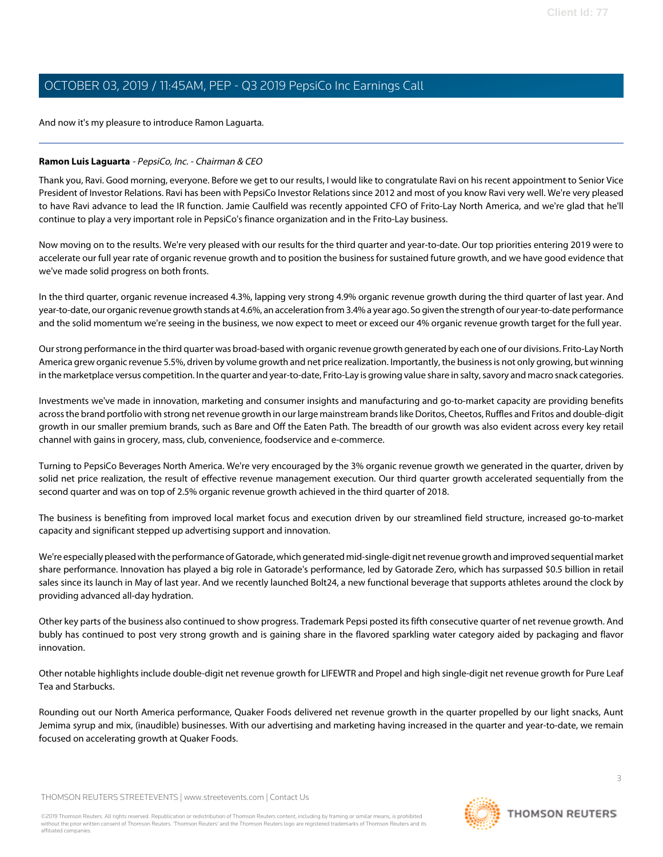And now it's my pleasure to introduce Ramon Laguarta.

#### <span id="page-2-0"></span>**Ramon Luis Laguarta** - PepsiCo, Inc. - Chairman & CEO

Thank you, Ravi. Good morning, everyone. Before we get to our results, I would like to congratulate Ravi on his recent appointment to Senior Vice President of Investor Relations. Ravi has been with PepsiCo Investor Relations since 2012 and most of you know Ravi very well. We're very pleased to have Ravi advance to lead the IR function. Jamie Caulfield was recently appointed CFO of Frito-Lay North America, and we're glad that he'll continue to play a very important role in PepsiCo's finance organization and in the Frito-Lay business.

Now moving on to the results. We're very pleased with our results for the third quarter and year-to-date. Our top priorities entering 2019 were to accelerate our full year rate of organic revenue growth and to position the business for sustained future growth, and we have good evidence that we've made solid progress on both fronts.

In the third quarter, organic revenue increased 4.3%, lapping very strong 4.9% organic revenue growth during the third quarter of last year. And year-to-date, our organic revenue growth stands at 4.6%, an acceleration from 3.4% a year ago. So given the strength of our year-to-date performance and the solid momentum we're seeing in the business, we now expect to meet or exceed our 4% organic revenue growth target for the full year.

Our strong performance in the third quarter was broad-based with organic revenue growth generated by each one of our divisions. Frito-Lay North America grew organic revenue 5.5%, driven by volume growth and net price realization. Importantly, the business is not only growing, but winning in the marketplace versus competition. In the quarter and year-to-date, Frito-Lay is growing value share in salty, savory and macro snack categories.

Investments we've made in innovation, marketing and consumer insights and manufacturing and go-to-market capacity are providing benefits across the brand portfolio with strong net revenue growth in our large mainstream brands like Doritos, Cheetos, Ruffles and Fritos and double-digit growth in our smaller premium brands, such as Bare and Off the Eaten Path. The breadth of our growth was also evident across every key retail channel with gains in grocery, mass, club, convenience, foodservice and e-commerce.

Turning to PepsiCo Beverages North America. We're very encouraged by the 3% organic revenue growth we generated in the quarter, driven by solid net price realization, the result of effective revenue management execution. Our third quarter growth accelerated sequentially from the second quarter and was on top of 2.5% organic revenue growth achieved in the third quarter of 2018.

The business is benefiting from improved local market focus and execution driven by our streamlined field structure, increased go-to-market capacity and significant stepped up advertising support and innovation.

We're especially pleased with the performance of Gatorade, which generated mid-single-digit net revenue growth and improved sequential market share performance. Innovation has played a big role in Gatorade's performance, led by Gatorade Zero, which has surpassed \$0.5 billion in retail sales since its launch in May of last year. And we recently launched Bolt24, a new functional beverage that supports athletes around the clock by providing advanced all-day hydration.

Other key parts of the business also continued to show progress. Trademark Pepsi posted its fifth consecutive quarter of net revenue growth. And bubly has continued to post very strong growth and is gaining share in the flavored sparkling water category aided by packaging and flavor innovation.

Other notable highlights include double-digit net revenue growth for LIFEWTR and Propel and high single-digit net revenue growth for Pure Leaf Tea and Starbucks.

Rounding out our North America performance, Quaker Foods delivered net revenue growth in the quarter propelled by our light snacks, Aunt Jemima syrup and mix, (inaudible) businesses. With our advertising and marketing having increased in the quarter and year-to-date, we remain focused on accelerating growth at Quaker Foods.

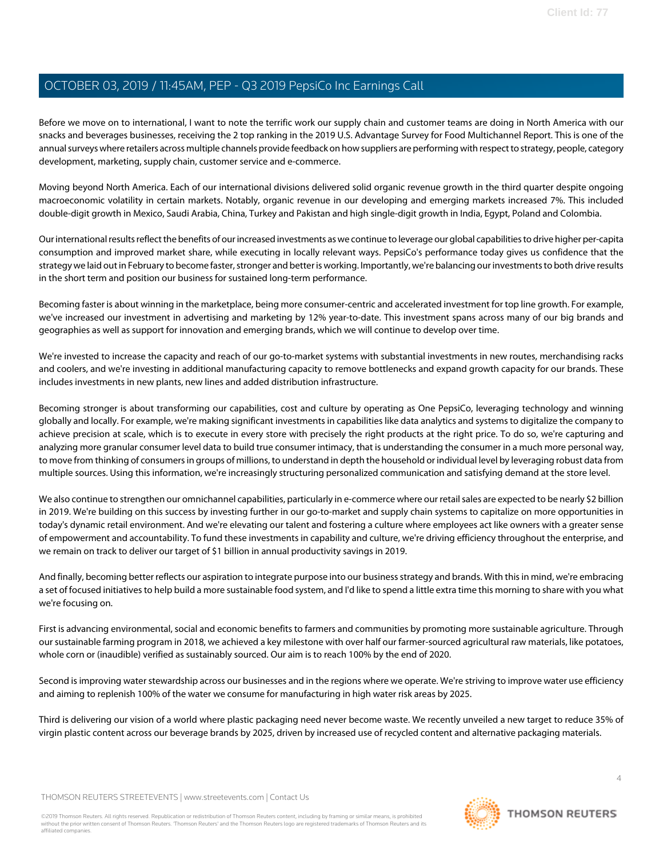Before we move on to international, I want to note the terrific work our supply chain and customer teams are doing in North America with our snacks and beverages businesses, receiving the 2 top ranking in the 2019 U.S. Advantage Survey for Food Multichannel Report. This is one of the annual surveys where retailers across multiple channels provide feedback on how suppliers are performing with respect to strategy, people, category development, marketing, supply chain, customer service and e-commerce.

Moving beyond North America. Each of our international divisions delivered solid organic revenue growth in the third quarter despite ongoing macroeconomic volatility in certain markets. Notably, organic revenue in our developing and emerging markets increased 7%. This included double-digit growth in Mexico, Saudi Arabia, China, Turkey and Pakistan and high single-digit growth in India, Egypt, Poland and Colombia.

Our international results reflect the benefits of our increased investments as we continue to leverage our global capabilities to drive higher per-capita consumption and improved market share, while executing in locally relevant ways. PepsiCo's performance today gives us confidence that the strategy we laid out in February to become faster, stronger and better is working. Importantly, we're balancing our investments to both drive results in the short term and position our business for sustained long-term performance.

Becoming faster is about winning in the marketplace, being more consumer-centric and accelerated investment for top line growth. For example, we've increased our investment in advertising and marketing by 12% year-to-date. This investment spans across many of our big brands and geographies as well as support for innovation and emerging brands, which we will continue to develop over time.

We're invested to increase the capacity and reach of our go-to-market systems with substantial investments in new routes, merchandising racks and coolers, and we're investing in additional manufacturing capacity to remove bottlenecks and expand growth capacity for our brands. These includes investments in new plants, new lines and added distribution infrastructure.

Becoming stronger is about transforming our capabilities, cost and culture by operating as One PepsiCo, leveraging technology and winning globally and locally. For example, we're making significant investments in capabilities like data analytics and systems to digitalize the company to achieve precision at scale, which is to execute in every store with precisely the right products at the right price. To do so, we're capturing and analyzing more granular consumer level data to build true consumer intimacy, that is understanding the consumer in a much more personal way, to move from thinking of consumers in groups of millions, to understand in depth the household or individual level by leveraging robust data from multiple sources. Using this information, we're increasingly structuring personalized communication and satisfying demand at the store level.

We also continue to strengthen our omnichannel capabilities, particularly in e-commerce where our retail sales are expected to be nearly \$2 billion in 2019. We're building on this success by investing further in our go-to-market and supply chain systems to capitalize on more opportunities in today's dynamic retail environment. And we're elevating our talent and fostering a culture where employees act like owners with a greater sense of empowerment and accountability. To fund these investments in capability and culture, we're driving efficiency throughout the enterprise, and we remain on track to deliver our target of \$1 billion in annual productivity savings in 2019.

And finally, becoming better reflects our aspiration to integrate purpose into our business strategy and brands. With this in mind, we're embracing a set of focused initiatives to help build a more sustainable food system, and I'd like to spend a little extra time this morning to share with you what we're focusing on.

First is advancing environmental, social and economic benefits to farmers and communities by promoting more sustainable agriculture. Through our sustainable farming program in 2018, we achieved a key milestone with over half our farmer-sourced agricultural raw materials, like potatoes, whole corn or (inaudible) verified as sustainably sourced. Our aim is to reach 100% by the end of 2020.

Second is improving water stewardship across our businesses and in the regions where we operate. We're striving to improve water use efficiency and aiming to replenish 100% of the water we consume for manufacturing in high water risk areas by 2025.

Third is delivering our vision of a world where plastic packaging need never become waste. We recently unveiled a new target to reduce 35% of virgin plastic content across our beverage brands by 2025, driven by increased use of recycled content and alternative packaging materials.

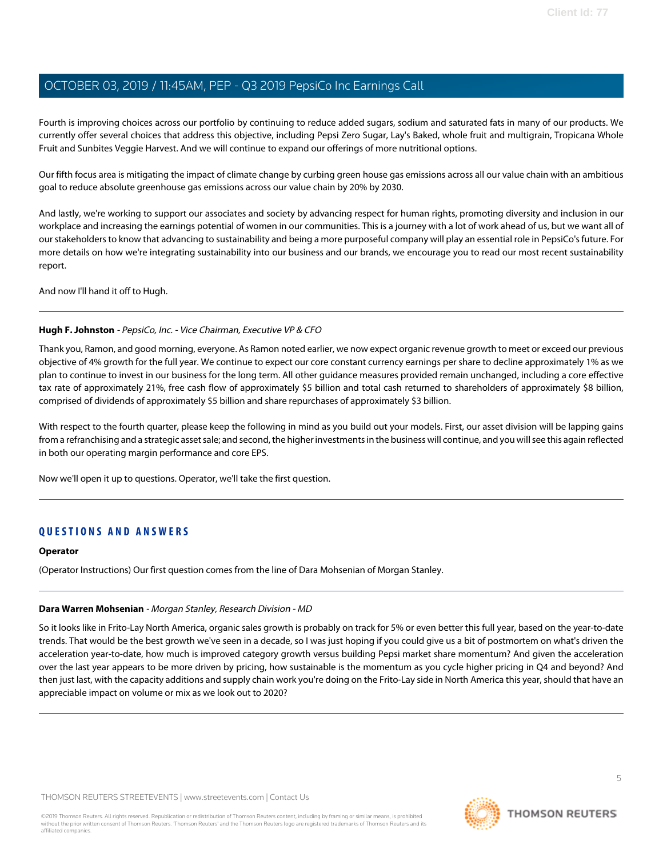Fourth is improving choices across our portfolio by continuing to reduce added sugars, sodium and saturated fats in many of our products. We currently offer several choices that address this objective, including Pepsi Zero Sugar, Lay's Baked, whole fruit and multigrain, Tropicana Whole Fruit and Sunbites Veggie Harvest. And we will continue to expand our offerings of more nutritional options.

Our fifth focus area is mitigating the impact of climate change by curbing green house gas emissions across all our value chain with an ambitious goal to reduce absolute greenhouse gas emissions across our value chain by 20% by 2030.

And lastly, we're working to support our associates and society by advancing respect for human rights, promoting diversity and inclusion in our workplace and increasing the earnings potential of women in our communities. This is a journey with a lot of work ahead of us, but we want all of our stakeholders to know that advancing to sustainability and being a more purposeful company will play an essential role in PepsiCo's future. For more details on how we're integrating sustainability into our business and our brands, we encourage you to read our most recent sustainability report.

<span id="page-4-0"></span>And now I'll hand it off to Hugh.

#### **Hugh F. Johnston** - PepsiCo, Inc. - Vice Chairman, Executive VP & CFO

Thank you, Ramon, and good morning, everyone. As Ramon noted earlier, we now expect organic revenue growth to meet or exceed our previous objective of 4% growth for the full year. We continue to expect our core constant currency earnings per share to decline approximately 1% as we plan to continue to invest in our business for the long term. All other guidance measures provided remain unchanged, including a core effective tax rate of approximately 21%, free cash flow of approximately \$5 billion and total cash returned to shareholders of approximately \$8 billion, comprised of dividends of approximately \$5 billion and share repurchases of approximately \$3 billion.

With respect to the fourth quarter, please keep the following in mind as you build out your models. First, our asset division will be lapping gains from a refranchising and a strategic asset sale; and second, the higher investments in the business will continue, and you will see this again reflected in both our operating margin performance and core EPS.

Now we'll open it up to questions. Operator, we'll take the first question.

## **QUESTIONS AND ANSWERS**

#### <span id="page-4-1"></span>**Operator**

(Operator Instructions) Our first question comes from the line of Dara Mohsenian of Morgan Stanley.

#### **Dara Warren Mohsenian** - Morgan Stanley, Research Division - MD

So it looks like in Frito-Lay North America, organic sales growth is probably on track for 5% or even better this full year, based on the year-to-date trends. That would be the best growth we've seen in a decade, so I was just hoping if you could give us a bit of postmortem on what's driven the acceleration year-to-date, how much is improved category growth versus building Pepsi market share momentum? And given the acceleration over the last year appears to be more driven by pricing, how sustainable is the momentum as you cycle higher pricing in Q4 and beyond? And then just last, with the capacity additions and supply chain work you're doing on the Frito-Lay side in North America this year, should that have an appreciable impact on volume or mix as we look out to 2020?

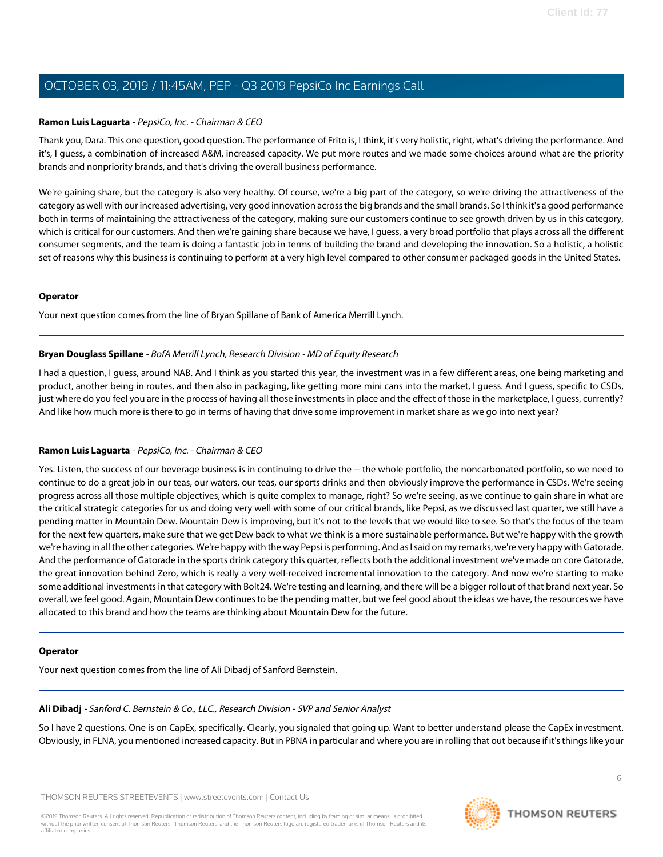#### **Ramon Luis Laguarta** - PepsiCo, Inc. - Chairman & CEO

Thank you, Dara. This one question, good question. The performance of Frito is, I think, it's very holistic, right, what's driving the performance. And it's, I guess, a combination of increased A&M, increased capacity. We put more routes and we made some choices around what are the priority brands and nonpriority brands, and that's driving the overall business performance.

We're gaining share, but the category is also very healthy. Of course, we're a big part of the category, so we're driving the attractiveness of the category as well with our increased advertising, very good innovation across the big brands and the small brands. So I think it's a good performance both in terms of maintaining the attractiveness of the category, making sure our customers continue to see growth driven by us in this category, which is critical for our customers. And then we're gaining share because we have, I guess, a very broad portfolio that plays across all the different consumer segments, and the team is doing a fantastic job in terms of building the brand and developing the innovation. So a holistic, a holistic set of reasons why this business is continuing to perform at a very high level compared to other consumer packaged goods in the United States.

#### **Operator**

<span id="page-5-1"></span>Your next question comes from the line of Bryan Spillane of Bank of America Merrill Lynch.

#### **Bryan Douglass Spillane** - BofA Merrill Lynch, Research Division - MD of Equity Research

I had a question, I guess, around NAB. And I think as you started this year, the investment was in a few different areas, one being marketing and product, another being in routes, and then also in packaging, like getting more mini cans into the market, I guess. And I guess, specific to CSDs, just where do you feel you are in the process of having all those investments in place and the effect of those in the marketplace, I guess, currently? And like how much more is there to go in terms of having that drive some improvement in market share as we go into next year?

#### **Ramon Luis Laguarta** - PepsiCo, Inc. - Chairman & CEO

Yes. Listen, the success of our beverage business is in continuing to drive the -- the whole portfolio, the noncarbonated portfolio, so we need to continue to do a great job in our teas, our waters, our teas, our sports drinks and then obviously improve the performance in CSDs. We're seeing progress across all those multiple objectives, which is quite complex to manage, right? So we're seeing, as we continue to gain share in what are the critical strategic categories for us and doing very well with some of our critical brands, like Pepsi, as we discussed last quarter, we still have a pending matter in Mountain Dew. Mountain Dew is improving, but it's not to the levels that we would like to see. So that's the focus of the team for the next few quarters, make sure that we get Dew back to what we think is a more sustainable performance. But we're happy with the growth we're having in all the other categories. We're happy with the way Pepsi is performing. And as I said on my remarks, we're very happy with Gatorade. And the performance of Gatorade in the sports drink category this quarter, reflects both the additional investment we've made on core Gatorade, the great innovation behind Zero, which is really a very well-received incremental innovation to the category. And now we're starting to make some additional investments in that category with Bolt24. We're testing and learning, and there will be a bigger rollout of that brand next year. So overall, we feel good. Again, Mountain Dew continues to be the pending matter, but we feel good about the ideas we have, the resources we have allocated to this brand and how the teams are thinking about Mountain Dew for the future.

#### <span id="page-5-0"></span>**Operator**

Your next question comes from the line of Ali Dibadj of Sanford Bernstein.

## **Ali Dibadj** - Sanford C. Bernstein & Co., LLC., Research Division - SVP and Senior Analyst

So I have 2 questions. One is on CapEx, specifically. Clearly, you signaled that going up. Want to better understand please the CapEx investment. Obviously, in FLNA, you mentioned increased capacity. But in PBNA in particular and where you are in rolling that out because if it's things like your

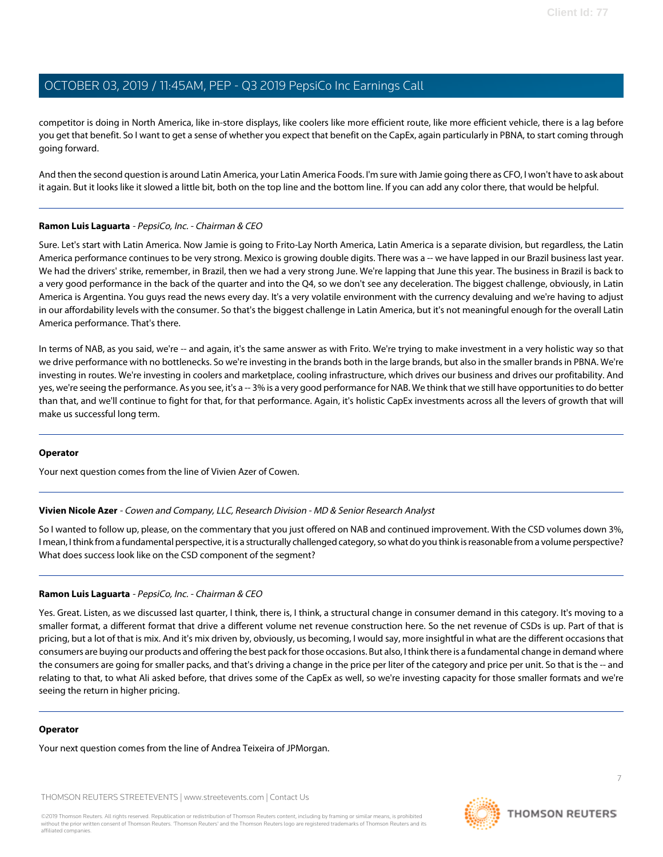competitor is doing in North America, like in-store displays, like coolers like more efficient route, like more efficient vehicle, there is a lag before you get that benefit. So I want to get a sense of whether you expect that benefit on the CapEx, again particularly in PBNA, to start coming through going forward.

And then the second question is around Latin America, your Latin America Foods. I'm sure with Jamie going there as CFO, I won't have to ask about it again. But it looks like it slowed a little bit, both on the top line and the bottom line. If you can add any color there, that would be helpful.

#### **Ramon Luis Laguarta** - PepsiCo, Inc. - Chairman & CEO

Sure. Let's start with Latin America. Now Jamie is going to Frito-Lay North America, Latin America is a separate division, but regardless, the Latin America performance continues to be very strong. Mexico is growing double digits. There was a -- we have lapped in our Brazil business last year. We had the drivers' strike, remember, in Brazil, then we had a very strong June. We're lapping that June this year. The business in Brazil is back to a very good performance in the back of the quarter and into the Q4, so we don't see any deceleration. The biggest challenge, obviously, in Latin America is Argentina. You guys read the news every day. It's a very volatile environment with the currency devaluing and we're having to adjust in our affordability levels with the consumer. So that's the biggest challenge in Latin America, but it's not meaningful enough for the overall Latin America performance. That's there.

In terms of NAB, as you said, we're -- and again, it's the same answer as with Frito. We're trying to make investment in a very holistic way so that we drive performance with no bottlenecks. So we're investing in the brands both in the large brands, but also in the smaller brands in PBNA. We're investing in routes. We're investing in coolers and marketplace, cooling infrastructure, which drives our business and drives our profitability. And yes, we're seeing the performance. As you see, it's a -- 3% is a very good performance for NAB. We think that we still have opportunities to do better than that, and we'll continue to fight for that, for that performance. Again, it's holistic CapEx investments across all the levers of growth that will make us successful long term.

#### <span id="page-6-0"></span>**Operator**

Your next question comes from the line of Vivien Azer of Cowen.

#### **Vivien Nicole Azer** - Cowen and Company, LLC, Research Division - MD & Senior Research Analyst

So I wanted to follow up, please, on the commentary that you just offered on NAB and continued improvement. With the CSD volumes down 3%, I mean, I think from a fundamental perspective, it is a structurally challenged category, so what do you think is reasonable from a volume perspective? What does success look like on the CSD component of the segment?

#### **Ramon Luis Laguarta** - PepsiCo, Inc. - Chairman & CEO

Yes. Great. Listen, as we discussed last quarter, I think, there is, I think, a structural change in consumer demand in this category. It's moving to a smaller format, a different format that drive a different volume net revenue construction here. So the net revenue of CSDs is up. Part of that is pricing, but a lot of that is mix. And it's mix driven by, obviously, us becoming, I would say, more insightful in what are the different occasions that consumers are buying our products and offering the best pack for those occasions. But also, I think there is a fundamental change in demand where the consumers are going for smaller packs, and that's driving a change in the price per liter of the category and price per unit. So that is the -- and relating to that, to what Ali asked before, that drives some of the CapEx as well, so we're investing capacity for those smaller formats and we're seeing the return in higher pricing.

#### **Operator**

Your next question comes from the line of Andrea Teixeira of JPMorgan.

THOMSON REUTERS STREETEVENTS | [www.streetevents.com](http://www.streetevents.com) | [Contact Us](http://www010.streetevents.com/contact.asp)

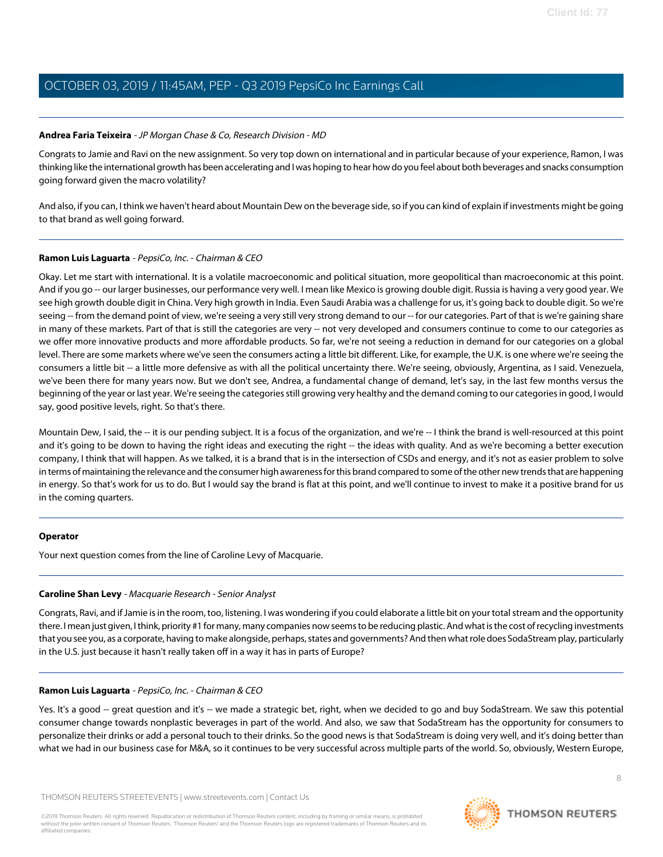#### <span id="page-7-0"></span>**Andrea Faria Teixeira** - JP Morgan Chase & Co, Research Division - MD

Congrats to Jamie and Ravi on the new assignment. So very top down on international and in particular because of your experience, Ramon, I was thinking like the international growth has been accelerating and I was hoping to hear how do you feel about both beverages and snacks consumption going forward given the macro volatility?

And also, if you can, I think we haven't heard about Mountain Dew on the beverage side, so if you can kind of explain if investments might be going to that brand as well going forward.

#### **Ramon Luis Laguarta** - PepsiCo, Inc. - Chairman & CEO

Okay. Let me start with international. It is a volatile macroeconomic and political situation, more geopolitical than macroeconomic at this point. And if you go -- our larger businesses, our performance very well. I mean like Mexico is growing double digit. Russia is having a very good year. We see high growth double digit in China. Very high growth in India. Even Saudi Arabia was a challenge for us, it's going back to double digit. So we're seeing -- from the demand point of view, we're seeing a very still very strong demand to our -- for our categories. Part of that is we're gaining share in many of these markets. Part of that is still the categories are very -- not very developed and consumers continue to come to our categories as we offer more innovative products and more affordable products. So far, we're not seeing a reduction in demand for our categories on a global level. There are some markets where we've seen the consumers acting a little bit different. Like, for example, the U.K. is one where we're seeing the consumers a little bit -- a little more defensive as with all the political uncertainty there. We're seeing, obviously, Argentina, as I said. Venezuela, we've been there for many years now. But we don't see, Andrea, a fundamental change of demand, let's say, in the last few months versus the beginning of the year or last year. We're seeing the categories still growing very healthy and the demand coming to our categories in good, I would say, good positive levels, right. So that's there.

Mountain Dew, I said, the -- it is our pending subject. It is a focus of the organization, and we're -- I think the brand is well-resourced at this point and it's going to be down to having the right ideas and executing the right -- the ideas with quality. And as we're becoming a better execution company, I think that will happen. As we talked, it is a brand that is in the intersection of CSDs and energy, and it's not as easier problem to solve in terms of maintaining the relevance and the consumer high awareness for this brand compared to some of the other new trends that are happening in energy. So that's work for us to do. But I would say the brand is flat at this point, and we'll continue to invest to make it a positive brand for us in the coming quarters.

#### <span id="page-7-1"></span>**Operator**

Your next question comes from the line of Caroline Levy of Macquarie.

#### **Caroline Shan Levy** - Macquarie Research - Senior Analyst

Congrats, Ravi, and if Jamie is in the room, too, listening. I was wondering if you could elaborate a little bit on your total stream and the opportunity there. I mean just given, I think, priority #1 for many, many companies now seems to be reducing plastic. And what is the cost of recycling investments that you see you, as a corporate, having to make alongside, perhaps, states and governments? And then what role does SodaStream play, particularly in the U.S. just because it hasn't really taken off in a way it has in parts of Europe?

#### **Ramon Luis Laguarta** - PepsiCo, Inc. - Chairman & CEO

Yes. It's a good -- great question and it's -- we made a strategic bet, right, when we decided to go and buy SodaStream. We saw this potential consumer change towards nonplastic beverages in part of the world. And also, we saw that SodaStream has the opportunity for consumers to personalize their drinks or add a personal touch to their drinks. So the good news is that SodaStream is doing very well, and it's doing better than what we had in our business case for M&A, so it continues to be very successful across multiple parts of the world. So, obviously, Western Europe,

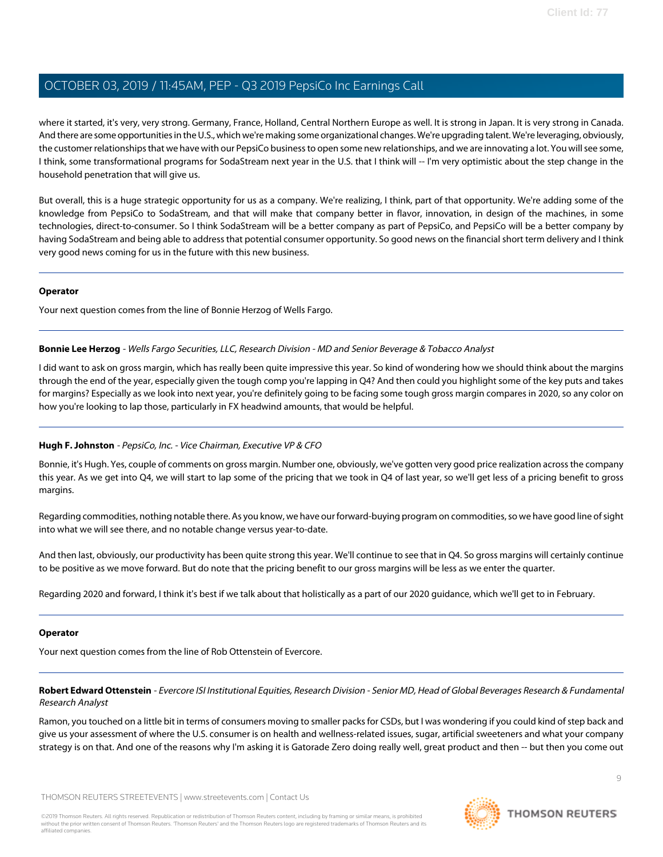where it started, it's very, very strong. Germany, France, Holland, Central Northern Europe as well. It is strong in Japan. It is very strong in Canada. And there are some opportunities in the U.S., which we're making some organizational changes. We're upgrading talent. We're leveraging, obviously, the customer relationships that we have with our PepsiCo business to open some new relationships, and we are innovating a lot. You will see some, I think, some transformational programs for SodaStream next year in the U.S. that I think will -- I'm very optimistic about the step change in the household penetration that will give us.

But overall, this is a huge strategic opportunity for us as a company. We're realizing, I think, part of that opportunity. We're adding some of the knowledge from PepsiCo to SodaStream, and that will make that company better in flavor, innovation, in design of the machines, in some technologies, direct-to-consumer. So I think SodaStream will be a better company as part of PepsiCo, and PepsiCo will be a better company by having SodaStream and being able to address that potential consumer opportunity. So good news on the financial short term delivery and I think very good news coming for us in the future with this new business.

#### **Operator**

<span id="page-8-0"></span>Your next question comes from the line of Bonnie Herzog of Wells Fargo.

#### **Bonnie Lee Herzog** - Wells Fargo Securities, LLC, Research Division - MD and Senior Beverage & Tobacco Analyst

I did want to ask on gross margin, which has really been quite impressive this year. So kind of wondering how we should think about the margins through the end of the year, especially given the tough comp you're lapping in Q4? And then could you highlight some of the key puts and takes for margins? Especially as we look into next year, you're definitely going to be facing some tough gross margin compares in 2020, so any color on how you're looking to lap those, particularly in FX headwind amounts, that would be helpful.

## **Hugh F. Johnston** - PepsiCo, Inc. - Vice Chairman, Executive VP & CFO

Bonnie, it's Hugh. Yes, couple of comments on gross margin. Number one, obviously, we've gotten very good price realization across the company this year. As we get into Q4, we will start to lap some of the pricing that we took in Q4 of last year, so we'll get less of a pricing benefit to gross margins.

Regarding commodities, nothing notable there. As you know, we have our forward-buying program on commodities, so we have good line of sight into what we will see there, and no notable change versus year-to-date.

And then last, obviously, our productivity has been quite strong this year. We'll continue to see that in Q4. So gross margins will certainly continue to be positive as we move forward. But do note that the pricing benefit to our gross margins will be less as we enter the quarter.

Regarding 2020 and forward, I think it's best if we talk about that holistically as a part of our 2020 guidance, which we'll get to in February.

#### <span id="page-8-1"></span>**Operator**

Your next question comes from the line of Rob Ottenstein of Evercore.

**Robert Edward Ottenstein** - Evercore ISI Institutional Equities, Research Division - Senior MD, Head of Global Beverages Research & Fundamental Research Analyst

Ramon, you touched on a little bit in terms of consumers moving to smaller packs for CSDs, but I was wondering if you could kind of step back and give us your assessment of where the U.S. consumer is on health and wellness-related issues, sugar, artificial sweeteners and what your company strategy is on that. And one of the reasons why I'm asking it is Gatorade Zero doing really well, great product and then -- but then you come out

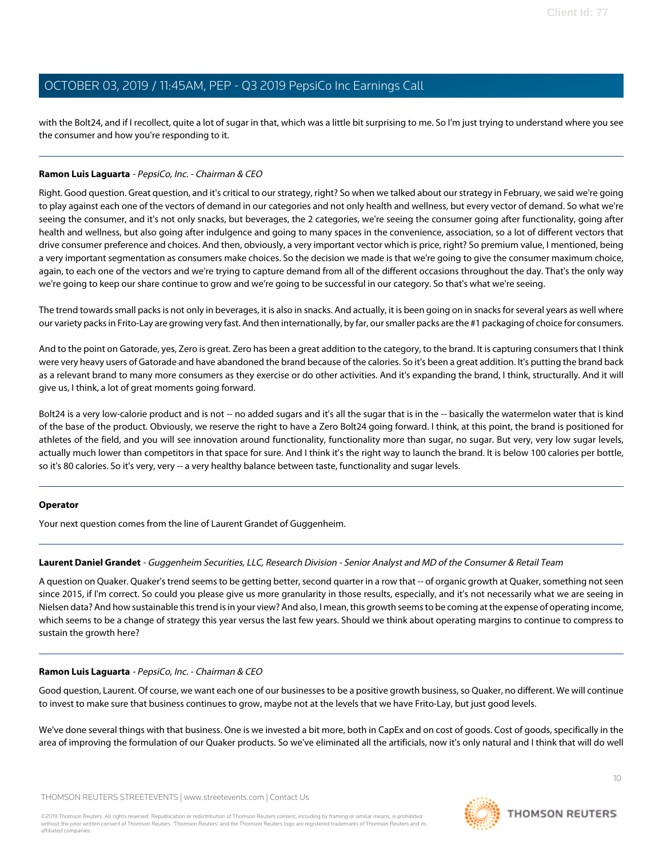with the Bolt24, and if I recollect, quite a lot of sugar in that, which was a little bit surprising to me. So I'm just trying to understand where you see the consumer and how you're responding to it.

## **Ramon Luis Laguarta** - PepsiCo, Inc. - Chairman & CEO

Right. Good question. Great question, and it's critical to our strategy, right? So when we talked about our strategy in February, we said we're going to play against each one of the vectors of demand in our categories and not only health and wellness, but every vector of demand. So what we're seeing the consumer, and it's not only snacks, but beverages, the 2 categories, we're seeing the consumer going after functionality, going after health and wellness, but also going after indulgence and going to many spaces in the convenience, association, so a lot of different vectors that drive consumer preference and choices. And then, obviously, a very important vector which is price, right? So premium value, I mentioned, being a very important segmentation as consumers make choices. So the decision we made is that we're going to give the consumer maximum choice, again, to each one of the vectors and we're trying to capture demand from all of the different occasions throughout the day. That's the only way we're going to keep our share continue to grow and we're going to be successful in our category. So that's what we're seeing.

The trend towards small packs is not only in beverages, it is also in snacks. And actually, it is been going on in snacks for several years as well where our variety packs in Frito-Lay are growing very fast. And then internationally, by far, our smaller packs are the #1 packaging of choice for consumers.

And to the point on Gatorade, yes, Zero is great. Zero has been a great addition to the category, to the brand. It is capturing consumers that I think were very heavy users of Gatorade and have abandoned the brand because of the calories. So it's been a great addition. It's putting the brand back as a relevant brand to many more consumers as they exercise or do other activities. And it's expanding the brand, I think, structurally. And it will give us, I think, a lot of great moments going forward.

Bolt24 is a very low-calorie product and is not -- no added sugars and it's all the sugar that is in the -- basically the watermelon water that is kind of the base of the product. Obviously, we reserve the right to have a Zero Bolt24 going forward. I think, at this point, the brand is positioned for athletes of the field, and you will see innovation around functionality, functionality more than sugar, no sugar. But very, very low sugar levels, actually much lower than competitors in that space for sure. And I think it's the right way to launch the brand. It is below 100 calories per bottle, so it's 80 calories. So it's very, very -- a very healthy balance between taste, functionality and sugar levels.

#### <span id="page-9-0"></span>**Operator**

Your next question comes from the line of Laurent Grandet of Guggenheim.

#### **Laurent Daniel Grandet** - Guggenheim Securities, LLC, Research Division - Senior Analyst and MD of the Consumer & Retail Team

A question on Quaker. Quaker's trend seems to be getting better, second quarter in a row that -- of organic growth at Quaker, something not seen since 2015, if I'm correct. So could you please give us more granularity in those results, especially, and it's not necessarily what we are seeing in Nielsen data? And how sustainable this trend is in your view? And also, I mean, this growth seems to be coming at the expense of operating income, which seems to be a change of strategy this year versus the last few years. Should we think about operating margins to continue to compress to sustain the growth here?

#### **Ramon Luis Laguarta** - PepsiCo, Inc. - Chairman & CEO

Good question, Laurent. Of course, we want each one of our businesses to be a positive growth business, so Quaker, no different. We will continue to invest to make sure that business continues to grow, maybe not at the levels that we have Frito-Lay, but just good levels.

We've done several things with that business. One is we invested a bit more, both in CapEx and on cost of goods. Cost of goods, specifically in the area of improving the formulation of our Quaker products. So we've eliminated all the artificials, now it's only natural and I think that will do well

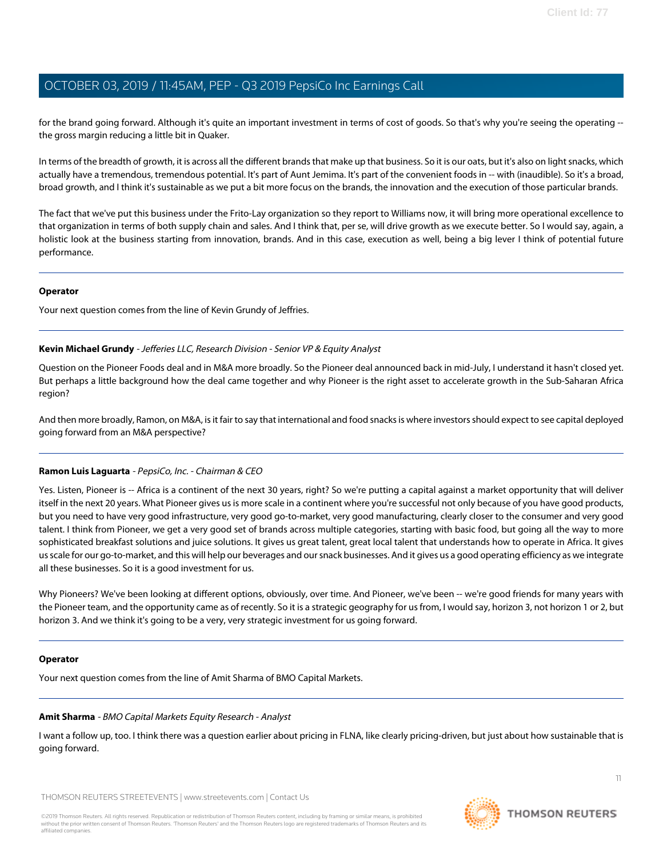for the brand going forward. Although it's quite an important investment in terms of cost of goods. So that's why you're seeing the operating - the gross margin reducing a little bit in Quaker.

In terms of the breadth of growth, it is across all the different brands that make up that business. So it is our oats, but it's also on light snacks, which actually have a tremendous, tremendous potential. It's part of Aunt Jemima. It's part of the convenient foods in -- with (inaudible). So it's a broad, broad growth, and I think it's sustainable as we put a bit more focus on the brands, the innovation and the execution of those particular brands.

The fact that we've put this business under the Frito-Lay organization so they report to Williams now, it will bring more operational excellence to that organization in terms of both supply chain and sales. And I think that, per se, will drive growth as we execute better. So I would say, again, a holistic look at the business starting from innovation, brands. And in this case, execution as well, being a big lever I think of potential future performance.

#### **Operator**

<span id="page-10-1"></span>Your next question comes from the line of Kevin Grundy of Jeffries.

#### **Kevin Michael Grundy** - Jefferies LLC, Research Division - Senior VP & Equity Analyst

Question on the Pioneer Foods deal and in M&A more broadly. So the Pioneer deal announced back in mid-July, I understand it hasn't closed yet. But perhaps a little background how the deal came together and why Pioneer is the right asset to accelerate growth in the Sub-Saharan Africa region?

And then more broadly, Ramon, on M&A, is it fair to say that international and food snacks is where investors should expect to see capital deployed going forward from an M&A perspective?

## **Ramon Luis Laguarta** - PepsiCo, Inc. - Chairman & CEO

Yes. Listen, Pioneer is -- Africa is a continent of the next 30 years, right? So we're putting a capital against a market opportunity that will deliver itself in the next 20 years. What Pioneer gives us is more scale in a continent where you're successful not only because of you have good products, but you need to have very good infrastructure, very good go-to-market, very good manufacturing, clearly closer to the consumer and very good talent. I think from Pioneer, we get a very good set of brands across multiple categories, starting with basic food, but going all the way to more sophisticated breakfast solutions and juice solutions. It gives us great talent, great local talent that understands how to operate in Africa. It gives us scale for our go-to-market, and this will help our beverages and our snack businesses. And it gives us a good operating efficiency as we integrate all these businesses. So it is a good investment for us.

Why Pioneers? We've been looking at different options, obviously, over time. And Pioneer, we've been -- we're good friends for many years with the Pioneer team, and the opportunity came as of recently. So it is a strategic geography for us from, I would say, horizon 3, not horizon 1 or 2, but horizon 3. And we think it's going to be a very, very strategic investment for us going forward.

#### <span id="page-10-0"></span>**Operator**

Your next question comes from the line of Amit Sharma of BMO Capital Markets.

#### **Amit Sharma** - BMO Capital Markets Equity Research - Analyst

I want a follow up, too. I think there was a question earlier about pricing in FLNA, like clearly pricing-driven, but just about how sustainable that is going forward.

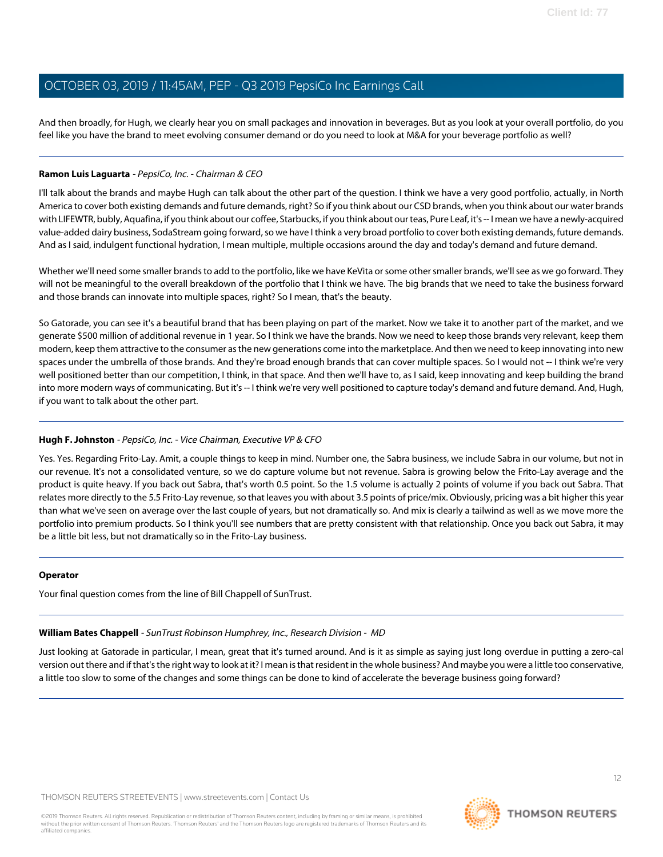And then broadly, for Hugh, we clearly hear you on small packages and innovation in beverages. But as you look at your overall portfolio, do you feel like you have the brand to meet evolving consumer demand or do you need to look at M&A for your beverage portfolio as well?

## **Ramon Luis Laguarta** - PepsiCo, Inc. - Chairman & CEO

I'll talk about the brands and maybe Hugh can talk about the other part of the question. I think we have a very good portfolio, actually, in North America to cover both existing demands and future demands, right? So if you think about our CSD brands, when you think about our water brands with LIFEWTR, bubly, Aquafina, if you think about our coffee, Starbucks, if you think about our teas, Pure Leaf, it's -- I mean we have a newly-acquired value-added dairy business, SodaStream going forward, so we have I think a very broad portfolio to cover both existing demands, future demands. And as I said, indulgent functional hydration, I mean multiple, multiple occasions around the day and today's demand and future demand.

Whether we'll need some smaller brands to add to the portfolio, like we have KeVita or some other smaller brands, we'll see as we go forward. They will not be meaningful to the overall breakdown of the portfolio that I think we have. The big brands that we need to take the business forward and those brands can innovate into multiple spaces, right? So I mean, that's the beauty.

So Gatorade, you can see it's a beautiful brand that has been playing on part of the market. Now we take it to another part of the market, and we generate \$500 million of additional revenue in 1 year. So I think we have the brands. Now we need to keep those brands very relevant, keep them modern, keep them attractive to the consumer as the new generations come into the marketplace. And then we need to keep innovating into new spaces under the umbrella of those brands. And they're broad enough brands that can cover multiple spaces. So I would not -- I think we're very well positioned better than our competition, I think, in that space. And then we'll have to, as I said, keep innovating and keep building the brand into more modern ways of communicating. But it's -- I think we're very well positioned to capture today's demand and future demand. And, Hugh, if you want to talk about the other part.

## **Hugh F. Johnston** - PepsiCo, Inc. - Vice Chairman, Executive VP & CFO

Yes. Yes. Regarding Frito-Lay. Amit, a couple things to keep in mind. Number one, the Sabra business, we include Sabra in our volume, but not in our revenue. It's not a consolidated venture, so we do capture volume but not revenue. Sabra is growing below the Frito-Lay average and the product is quite heavy. If you back out Sabra, that's worth 0.5 point. So the 1.5 volume is actually 2 points of volume if you back out Sabra. That relates more directly to the 5.5 Frito-Lay revenue, so that leaves you with about 3.5 points of price/mix. Obviously, pricing was a bit higher this year than what we've seen on average over the last couple of years, but not dramatically so. And mix is clearly a tailwind as well as we move more the portfolio into premium products. So I think you'll see numbers that are pretty consistent with that relationship. Once you back out Sabra, it may be a little bit less, but not dramatically so in the Frito-Lay business.

## <span id="page-11-0"></span>**Operator**

Your final question comes from the line of Bill Chappell of SunTrust.

#### **William Bates Chappell** - SunTrust Robinson Humphrey, Inc., Research Division - MD

Just looking at Gatorade in particular, I mean, great that it's turned around. And is it as simple as saying just long overdue in putting a zero-cal version out there and if that's the right way to look at it? I mean is that resident in the whole business? And maybe you were a little too conservative, a little too slow to some of the changes and some things can be done to kind of accelerate the beverage business going forward?